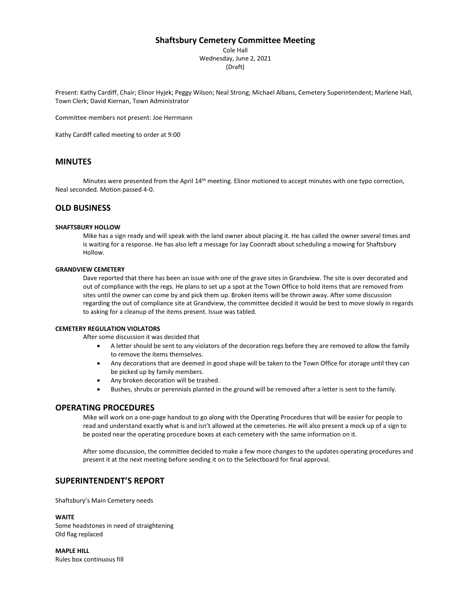## **Shaftsbury Cemetery Committee Meeting**

Cole Hall Wednesday, June 2, 2021 (Draft)

Present: Kathy Cardiff, Chair; Elinor Hyjek; Peggy Wilson; Neal Strong; Michael Albans, Cemetery Superintendent; Marlene Hall, Town Clerk; David Kiernan, Town Administrator

Committee members not present: Joe Herrmann

Kathy Cardiff called meeting to order at 9:00

# **MINUTES**

Minutes were presented from the April 14<sup>th</sup> meeting. Elinor motioned to accept minutes with one typo correction, Neal seconded. Motion passed 4-0.

# **OLD BUSINESS**

### **SHAFTSBURY HOLLOW**

Mike has a sign ready and will speak with the land owner about placing it. He has called the owner several times and is waiting for a response. He has also left a message for Jay Coonradt about scheduling a mowing for Shaftsbury Hollow.

### **GRANDVIEW CEMETERY**

Dave reported that there has been an issue with one of the grave sites in Grandview. The site is over decorated and out of compliance with the regs. He plans to set up a spot at the Town Office to hold items that are removed from sites until the owner can come by and pick them up. Broken items will be thrown away. After some discussion regarding the out of compliance site at Grandview, the committee decided it would be best to move slowly in regards to asking for a cleanup of the items present. Issue was tabled.

### **CEMETERY REGULATION VIOLATORS**

After some discussion it was decided that

- A letter should be sent to any violators of the decoration regs before they are removed to allow the family to remove the items themselves.
- Any decorations that are deemed in good shape will be taken to the Town Office for storage until they can be picked up by family members.
- Any broken decoration will be trashed.
- Bushes, shrubs or perennials planted in the ground will be removed after a letter is sent to the family.

## **OPERATING PROCEDURES**

Mike will work on a one-page handout to go along with the Operating Procedures that will be easier for people to read and understand exactly what is and isn't allowed at the cemeteries. He will also present a mock up of a sign to be posted near the operating procedure boxes at each cemetery with the same information on it.

After some discussion, the committee decided to make a few more changes to the updates operating procedures and present it at the next meeting before sending it on to the Selectboard for final approval.

## **SUPERINTENDENT'S REPORT**

Shaftsbury's Main Cemetery needs

#### **WAITE**

Some headstones in need of straightening Old flag replaced

**MAPLE HILL** Rules box continuous fill